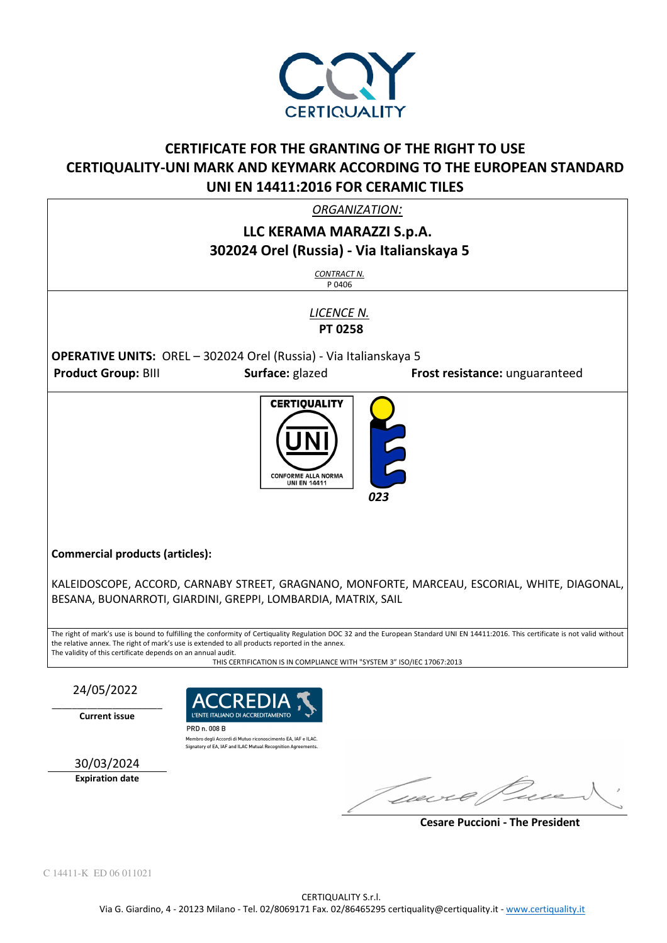

# **CERTIFICATE FOR THE GRANTING OF THE RIGHT TO USE CERTIQUALITY-UNI MARK AND KEYMARK ACCORDING TO THE EUROPEAN STANDARD UNI EN 14411:2016 FOR CERAMIC TILES**

*ORGANIZATION:* 

## **LLC KERAMA MARAZZI S.p.A. 302024 Orel (Russia) - Via Italianskaya 5**

*CONTRACT N.* P 0406

*LICENCE N.*   **PT 0258** 

**OPERATIVE UNITS:** OREL – 302024 Orel (Russia) - Via Italianskaya 5 **Product Group:** BIII **Surface:** glazed **Frost resistance:** unguaranteed



**Commercial products (articles):** 

KALEIDOSCOPE, ACCORD, CARNABY STREET, GRAGNANO, MONFORTE, MARCEAU, ESCORIAL, WHITE, DIAGONAL, BESANA, BUONARROTI, GIARDINI, GREPPI, LOMBARDIA, MATRIX, SAIL

The right of mark's use is bound to fulfilling the conformity of Certiquality Regulation DOC 32 and the European Standard UNI EN 14411:2016. This certificate is not valid without the relative annex. The right of mark's use is extended to all products reported in the annex. The validity of this certificate depends on an annual audit.

THIS CERTIFICATION IS IN COMPLIANCE WITH "SYSTEM 3" ISO/IEC 17067:2013

24/05/2022

 $\_$ **Current issue** 



Membro degli Accordi di Mutuo riconoscimento EA, IAF e ILAC. Signatory of EA. IAF and ILAC Mutual Recognition Agreements

30/03/2024 **Expiration date** 

mure Pu

 **Cesare Puccioni - The President**

C 14411-K ED 06 011021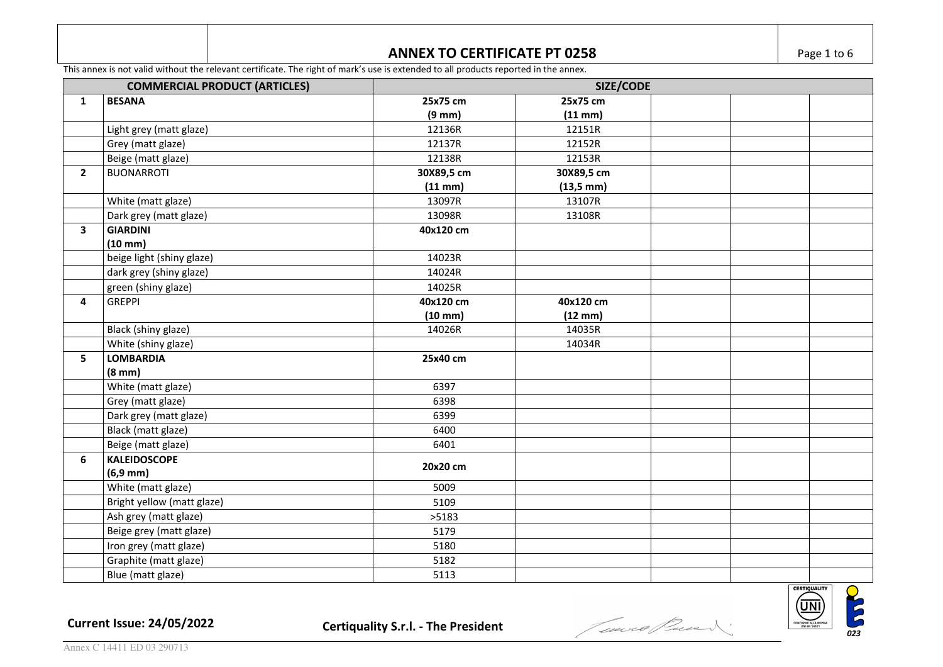### **ANNEX TO CERTIFICATE PT 0258 Page 1 to 6**

**ON CONSIDER** 

**CERTIQUALITY** <u>(UNI)</u>

This annex is not valid without the relevant certificate. The right of mark's use is extended to all products reported in the annex.

| <b>COMMERCIAL PRODUCT (ARTICLES)</b> |                            | SIZE/CODE         |                       |  |  |  |  |
|--------------------------------------|----------------------------|-------------------|-----------------------|--|--|--|--|
| $\mathbf{1}$                         | <b>BESANA</b>              | 25x75 cm          | 25x75 cm              |  |  |  |  |
|                                      |                            | $(9 \text{ mm})$  | (11 mm)               |  |  |  |  |
|                                      | Light grey (matt glaze)    | 12136R            | 12151R                |  |  |  |  |
|                                      | Grey (matt glaze)          | 12137R            | 12152R                |  |  |  |  |
|                                      | Beige (matt glaze)         | 12138R            | 12153R                |  |  |  |  |
| $\overline{2}$                       | <b>BUONARROTI</b>          | 30X89,5 cm        | 30X89,5 cm            |  |  |  |  |
|                                      |                            | $(11$ mm $)$      | $(13,5 \, \text{mm})$ |  |  |  |  |
|                                      | White (matt glaze)         | 13097R            | 13107R                |  |  |  |  |
|                                      | Dark grey (matt glaze)     | 13098R            | 13108R                |  |  |  |  |
| 3                                    | <b>GIARDINI</b>            | 40x120 cm         |                       |  |  |  |  |
|                                      | $(10 \text{ mm})$          |                   |                       |  |  |  |  |
|                                      | beige light (shiny glaze)  | 14023R            |                       |  |  |  |  |
|                                      | dark grey (shiny glaze)    | 14024R            |                       |  |  |  |  |
|                                      | green (shiny glaze)        | 14025R            |                       |  |  |  |  |
| 4                                    | <b>GREPPI</b>              | 40x120 cm         | 40x120 cm             |  |  |  |  |
|                                      |                            | $(10 \text{ mm})$ | $(12 \text{ mm})$     |  |  |  |  |
|                                      | Black (shiny glaze)        | 14026R            | 14035R                |  |  |  |  |
|                                      | White (shiny glaze)        |                   | 14034R                |  |  |  |  |
| 5                                    | <b>LOMBARDIA</b>           | 25x40 cm          |                       |  |  |  |  |
|                                      | $(8 \text{ mm})$           |                   |                       |  |  |  |  |
|                                      | White (matt glaze)         | 6397              |                       |  |  |  |  |
|                                      | Grey (matt glaze)          | 6398              |                       |  |  |  |  |
|                                      | Dark grey (matt glaze)     | 6399              |                       |  |  |  |  |
|                                      | Black (matt glaze)         | 6400              |                       |  |  |  |  |
|                                      | Beige (matt glaze)         | 6401              |                       |  |  |  |  |
| 6                                    | <b>KALEIDOSCOPE</b>        | 20x20 cm          |                       |  |  |  |  |
|                                      | $(6,9 \, mm)$              |                   |                       |  |  |  |  |
|                                      | White (matt glaze)         | 5009              |                       |  |  |  |  |
|                                      | Bright yellow (matt glaze) | 5109              |                       |  |  |  |  |
|                                      | Ash grey (matt glaze)      | >5183             |                       |  |  |  |  |
|                                      | Beige grey (matt glaze)    | 5179              |                       |  |  |  |  |
|                                      | Iron grey (matt glaze)     | 5180              |                       |  |  |  |  |
|                                      | Graphite (matt glaze)      | 5182              |                       |  |  |  |  |
|                                      | Blue (matt glaze)          | 5113              |                       |  |  |  |  |

**Current Issue: 24/05/2022 Certiquality S.r.l. - The President** *and <i>lieure finality S.r.l.*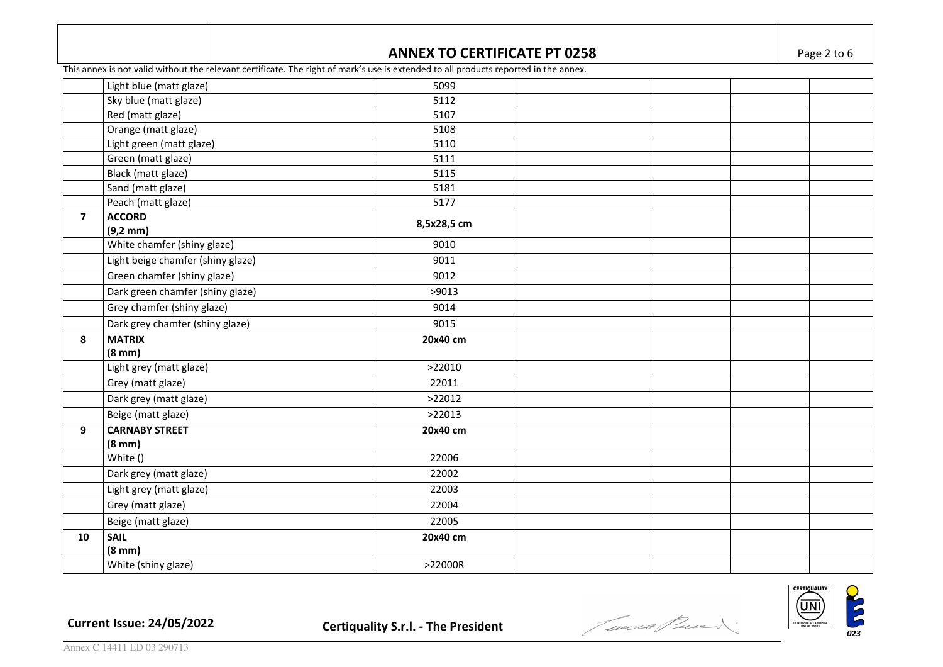#### **ANNEX TO CERTIFICATE PT 0258 Page 2 to 6**

This annex is not valid without the relevant certificate. The right of mark's use is extended to all products reported in the annex.

|                | Light blue (matt glaze)           | 5099        |  |  |
|----------------|-----------------------------------|-------------|--|--|
|                | Sky blue (matt glaze)             | 5112        |  |  |
|                | Red (matt glaze)                  | 5107        |  |  |
|                | Orange (matt glaze)               | 5108        |  |  |
|                | Light green (matt glaze)          | 5110        |  |  |
|                | Green (matt glaze)                | 5111        |  |  |
|                | Black (matt glaze)                | 5115        |  |  |
|                | Sand (matt glaze)                 | 5181        |  |  |
|                | Peach (matt glaze)                | 5177        |  |  |
| $\overline{7}$ | <b>ACCORD</b>                     | 8,5x28,5 cm |  |  |
|                | $(9,2 \text{ mm})$                |             |  |  |
|                | White chamfer (shiny glaze)       | 9010        |  |  |
|                | Light beige chamfer (shiny glaze) | 9011        |  |  |
|                | Green chamfer (shiny glaze)       | 9012        |  |  |
|                | Dark green chamfer (shiny glaze)  | >9013       |  |  |
|                | Grey chamfer (shiny glaze)        | 9014        |  |  |
|                | Dark grey chamfer (shiny glaze)   | 9015        |  |  |
| 8              | <b>MATRIX</b>                     | 20x40 cm    |  |  |
|                | $(8 \text{ mm})$                  |             |  |  |
|                | Light grey (matt glaze)           | >22010      |  |  |
|                | Grey (matt glaze)                 | 22011       |  |  |
|                | Dark grey (matt glaze)            | >22012      |  |  |
|                | Beige (matt glaze)                | >22013      |  |  |
| 9              | <b>CARNABY STREET</b>             | 20x40 cm    |  |  |
|                | $(8 \text{ mm})$                  |             |  |  |
|                | White ()                          | 22006       |  |  |
|                | Dark grey (matt glaze)            | 22002       |  |  |
|                | Light grey (matt glaze)           | 22003       |  |  |
|                | Grey (matt glaze)                 | 22004       |  |  |
|                | Beige (matt glaze)                | 22005       |  |  |
| 10             | <b>SAIL</b>                       | 20x40 cm    |  |  |
|                | $(8 \text{ mm})$                  |             |  |  |
|                | White (shiny glaze)               | >22000R     |  |  |
|                |                                   |             |  |  |



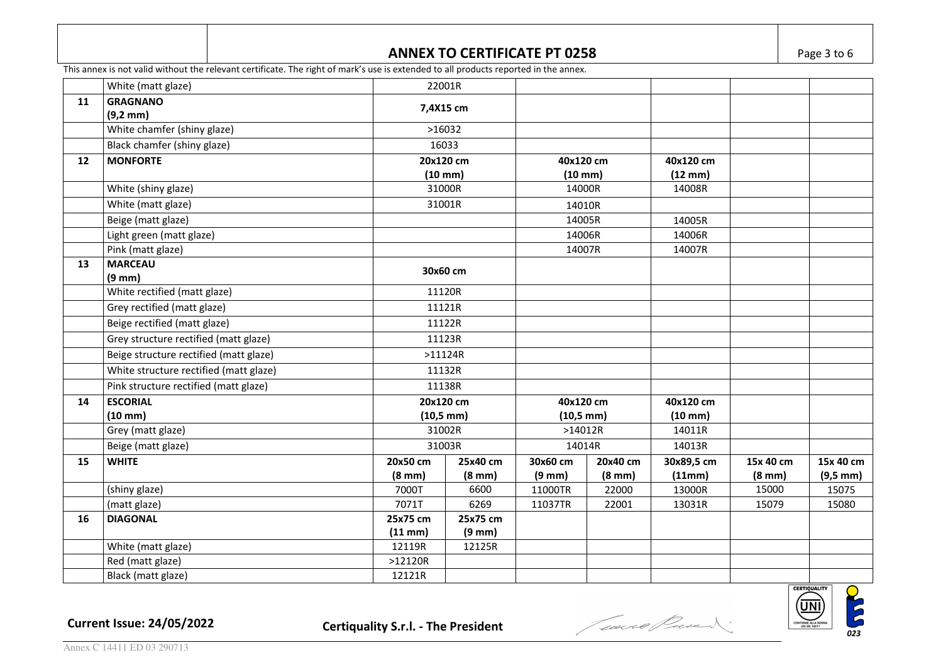#### **ANNEX TO CERTIFICATE PT 0258 Page 3 to 6**

This annex is not valid without the relevant certificate. The right of mark's use is extended to all products reported in the annex.

|    | White (matt glaze)                     |                  | 22001R                                       |                  |                                                 |            |                  |               |
|----|----------------------------------------|------------------|----------------------------------------------|------------------|-------------------------------------------------|------------|------------------|---------------|
| 11 | <b>GRAGNANO</b>                        |                  | 7,4X15 cm                                    |                  |                                                 |            |                  |               |
|    | $(9,2 \, mm)$                          |                  |                                              |                  |                                                 |            |                  |               |
|    | White chamfer (shiny glaze)            |                  | >16032                                       |                  |                                                 |            |                  |               |
|    | Black chamfer (shiny glaze)            |                  | 16033                                        |                  |                                                 |            |                  |               |
| 12 | <b>MONFORTE</b>                        | 20x120 cm        |                                              | 40x120 cm        |                                                 | 40x120 cm  |                  |               |
|    |                                        |                  | $(10$ mm $)$                                 |                  | $(10$ mm $)$                                    |            |                  |               |
|    | White (shiny glaze)                    |                  | 31000R                                       |                  | 14000R                                          |            |                  |               |
|    | White (matt glaze)                     |                  | 31001R                                       |                  | 14010R                                          |            |                  |               |
|    | Beige (matt glaze)                     |                  |                                              |                  | 14005R                                          |            |                  |               |
|    | Light green (matt glaze)               |                  |                                              |                  | 14006R                                          |            |                  |               |
|    | Pink (matt glaze)                      |                  |                                              |                  | 14007R                                          |            |                  |               |
| 13 | <b>MARCEAU</b>                         |                  | 30x60 cm                                     |                  |                                                 |            |                  |               |
|    | $(9 \text{ mm})$                       |                  |                                              |                  |                                                 |            |                  |               |
|    | White rectified (matt glaze)           |                  | 11120R                                       |                  |                                                 |            |                  |               |
|    | Grey rectified (matt glaze)            |                  | 11121R                                       |                  |                                                 |            |                  |               |
|    | Beige rectified (matt glaze)           |                  | 11122R                                       |                  |                                                 |            |                  |               |
|    | Grey structure rectified (matt glaze)  |                  | 11123R<br>$>11124R$<br>11132R<br>11138R      |                  |                                                 |            |                  |               |
|    | Beige structure rectified (matt glaze) |                  |                                              |                  |                                                 |            |                  |               |
|    | White structure rectified (matt glaze) |                  |                                              |                  |                                                 |            |                  |               |
|    | Pink structure rectified (matt glaze)  |                  |                                              |                  |                                                 |            |                  |               |
| 14 | <b>ESCORIAL</b>                        |                  | 20x120 cm<br>$(10,5 \, \text{mm})$<br>31002R |                  | 40x120 cm<br>$(10,5 \, \text{mm})$<br>$>14012R$ |            |                  |               |
|    | $(10 \text{ mm})$                      |                  |                                              |                  |                                                 |            |                  |               |
|    | Grey (matt glaze)                      |                  |                                              |                  |                                                 |            |                  |               |
|    | Beige (matt glaze)                     |                  | 31003R                                       |                  | 14014R                                          |            |                  |               |
| 15 | <b>WHITE</b>                           | 20x50 cm         | 25x40 cm                                     | 30x60 cm         | 20x40 cm                                        | 30x89,5 cm | 15x 40 cm        | 15x 40 cm     |
|    |                                        | $(8 \text{ mm})$ | $(8 \text{ mm})$                             | $(9 \text{ mm})$ | $(8 \text{ mm})$                                | (11mm)     | $(8 \text{ mm})$ | $(9,5 \, mm)$ |
|    | (shiny glaze)                          | 7000T            | 6600                                         | 11000TR          | 22000                                           | 13000R     | 15000            | 15075         |
|    | (matt glaze)                           | 7071T            | 6269                                         | 11037TR          | 22001                                           | 13031R     | 15079            | 15080         |
| 16 | <b>DIAGONAL</b>                        | 25x75 cm         | 25x75 cm                                     |                  |                                                 |            |                  |               |
|    |                                        | $(11$ mm $)$     | $(9 \text{ mm})$                             |                  |                                                 |            |                  |               |
|    | White (matt glaze)                     | 12119R           | 12125R                                       |                  |                                                 |            |                  |               |
|    | Red (matt glaze)                       | >12120R          |                                              |                  |                                                 |            |                  |               |
|    | Black (matt glaze)                     | 12121R           |                                              |                  |                                                 |            |                  |               |

**Current Issue: 24/05/2022 Certiquality S.r.l. - The President** *and <i>Correst Carried Correst in the President*